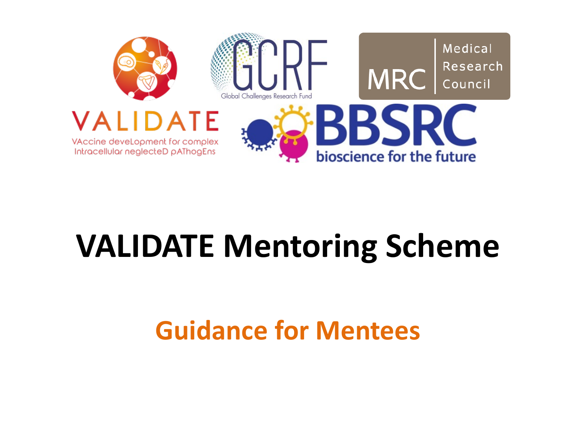

#### **VALIDATE Mentoring Scheme**

#### **Guidance for Mentees**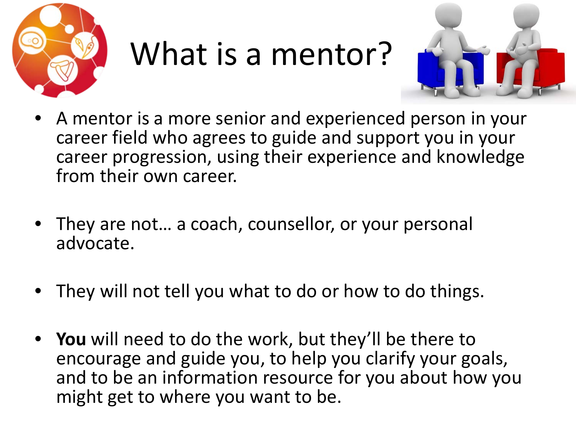

# What is a mentor?



- A mentor is a more senior and experienced person in your career field who agrees to guide and support you in your career progression, using their experience and knowledge from their own career.
- They are not... a coach, counsellor, or your personal advocate.
- They will not tell you what to do or how to do things.
- **You** will need to do the work, but they'll be there to encourage and guide you, to help you clarify your goals, and to be an information resource for you about how you might get to where you want to be.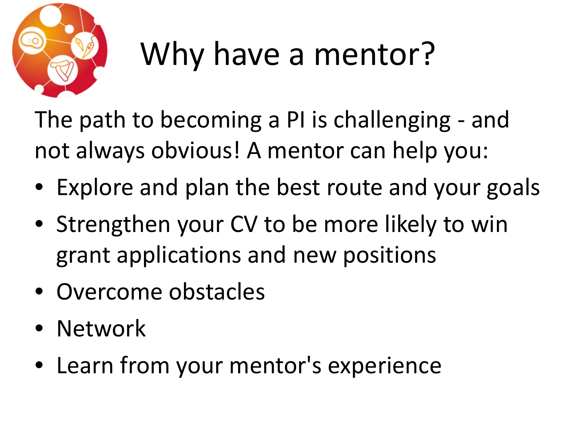

# Why have a mentor?

The path to becoming a PI is challenging - and not always obvious! A mentor can help you:

- Explore and plan the best route and your goals
- Strengthen your CV to be more likely to win grant applications and new positions
- Overcome obstacles
- Network
- Learn from your mentor's experience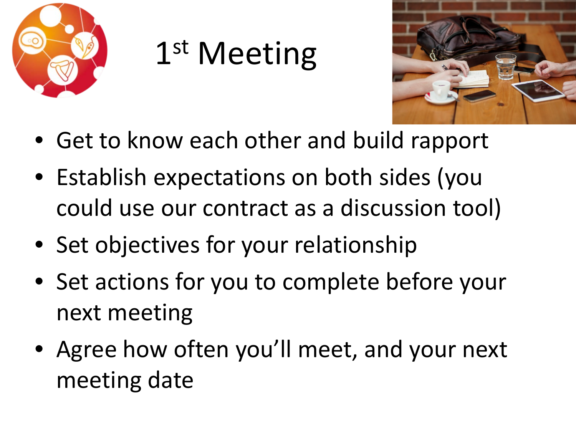

# 1st Meeting



- Get to know each other and build rapport
- Establish expectations on both sides (you could use our contract as a discussion tool)
- Set objectives for your relationship
- Set actions for you to complete before your next meeting
- Agree how often you'll meet, and your next meeting date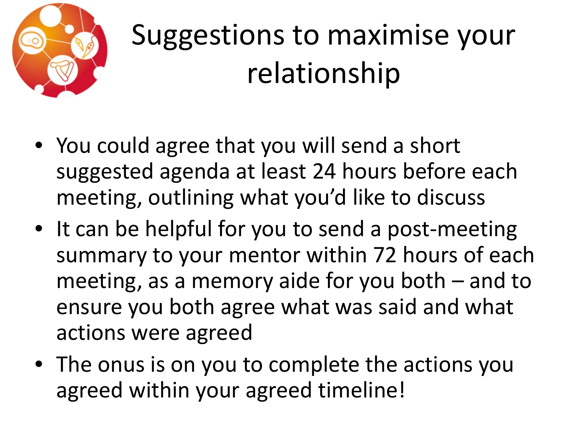

#### Suggestions to maximise your relationship

- You could agree that you will send a short suggested agenda at least 24 hours before each meeting, outlining what you'd like to discuss
- It can be helpful for you to send a post-meeting summary to your mentor within 72 hours of each meeting, as a memory aide for you both – and to ensure you both agree what was said and what actions were agreed
- The onus is on you to complete the actions you agreed within your agreed timeline!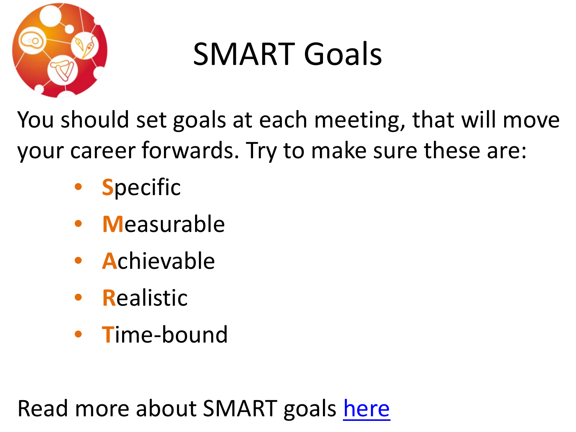

# SMART Goals

You should set goals at each meeting, that will move your career forwards. Try to make sure these are:

- **S**pecific
- **M**easurable
- **A**chievable
- **R**ealistic
- **T**ime-bound

Read more about SMART goals [here](https://www.mindtools.com/pages/article/smart-goals.htm)